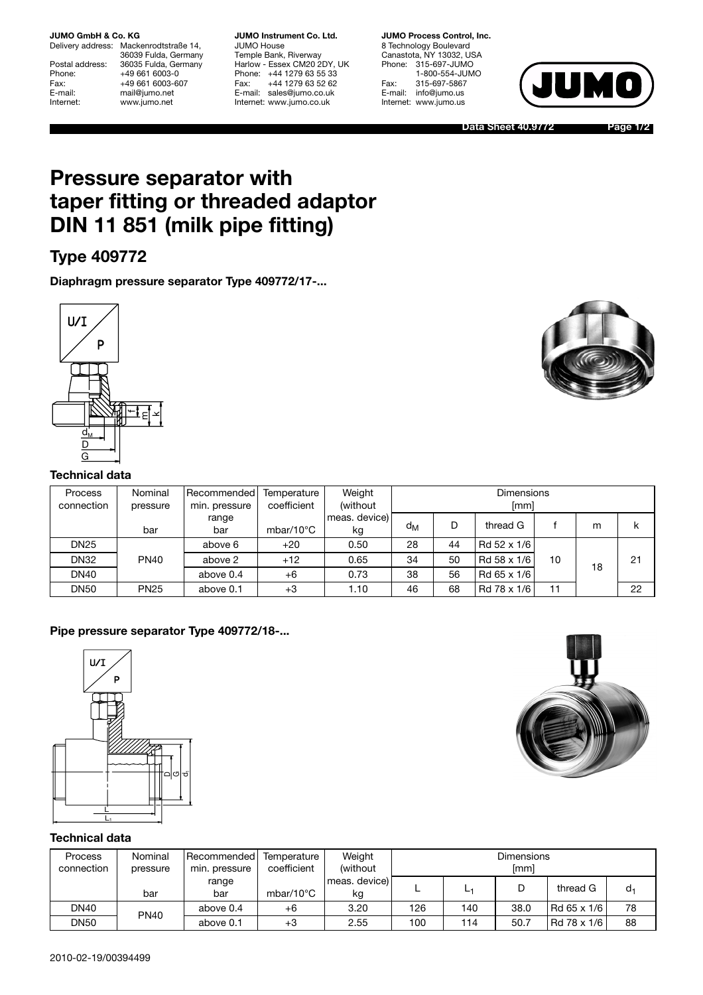#### **JUMO GmbH & Co. KG**

Delivery address: Mackenrodtstraße 14, 36039 Fulda, Germany Postal address: 36035 Fulda, Germany<br>Phone: +49 661 6003-0 Phone: +49 661 6003-0<br>Fax: +49 661 6003-6 Fax: +49 661 6003-607<br>
E-mail: +49 661 6003-607 E-mail: mail@jumo.net<br>
Internet: www.jumo.net www.jumo.net

**JUMO Instrument Co. Ltd.** JUMO House Temple Bank, Riverway Harlow - Essex CM20 2DY, UK Phone: +44 1279 63 55 33 Fax: +44 1279 63 52 62 E-mail: sales@jumo.co.uk Internet: www.jumo.co.uk

**JUMO Process Control, Inc.** 8 Technology Boulevard Canastota, NY 13032, USA Phone: 315-697-JUMO 1-800-554-JUMO Fax: 315-697-5867 E-mail: info@jumo.us Internet: www.jumo.us



**Data Sheet 40.9772**

**Page 1/2**

# **Pressure separator with taper fitting or threaded adaptor DIN 11 851 (milk pipe fitting)**

# **Type 409772**

**Diaphragm pressure separator Type 409772/17-...**



#### **Technical data**

| Process<br>connection | Nominal<br>pressure | Recommended<br>min. pressure | Temperature<br>coefficient | Weight<br>(without  | <b>Dimensions</b><br>[mm] |    |             |    |    |    |
|-----------------------|---------------------|------------------------------|----------------------------|---------------------|---------------------------|----|-------------|----|----|----|
|                       | bar                 | range<br>bar                 | mbar/10 $\degree$ C        | meas. device)<br>kg | $d_M$                     | D  | thread G    |    | m  | k  |
| <b>DN25</b>           |                     | above 6                      | $+20$                      | 0.50                | 28                        | 44 | Rd 52 x 1/6 |    |    |    |
| <b>DN32</b>           | <b>PN40</b>         | above 2                      | $+12$                      | 0.65                | 34                        | 50 | Rd 58 x 1/6 | 10 | 18 | 21 |
| <b>DN40</b>           |                     | above 0.4                    | $+6$                       | 0.73                | 38                        | 56 | Rd 65 x 1/6 |    |    |    |
| <b>DN50</b>           | <b>PN25</b>         | above 0.1                    | $+3$                       | 1.10                | 46                        | 68 | Rd 78 x 1/6 | 11 |    | 22 |

### **Pipe pressure separator Type 409772/18-...**





## **Technical data**

| Process<br>connection | Nominal<br>pressure | Recommended<br>min. pressure | Temperature<br>coefficient | Weight<br>(without) | <b>Dimensions</b><br>[mm] |     |      |             |       |  |
|-----------------------|---------------------|------------------------------|----------------------------|---------------------|---------------------------|-----|------|-------------|-------|--|
|                       | bar                 | range<br>bar                 | mbar/10 $\degree$ C        | meas. device)<br>kg |                           | ᄓ   | D    | thread G    | $d_1$ |  |
| <b>DN40</b>           | <b>PN40</b>         | above 0.4                    | +6                         | 3.20                | 126                       | 140 | 38.0 | Rd 65 x 1/6 | 78    |  |
| <b>DN50</b>           |                     | above 0.1                    | $+3$                       | 2.55                | 100                       | 114 | 50.7 | Rd 78 x 1/6 | 88    |  |